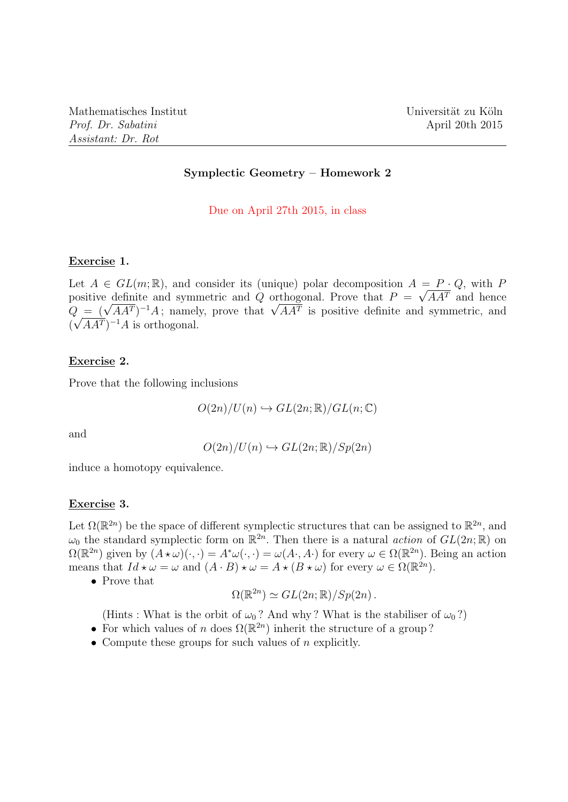### Symplectic Geometry – Homework 2

Due on April 27th 2015, in class

#### Exercise 1.

Let  $A \in GL(m;\mathbb{R})$ , and consider its (unique) polar decomposition  $A = P \cdot Q$ , with P positive definite and symmetric and Q orthogonal. Prove that  $P = \sqrt{A A^{T}}$  and hence positive definite and symmetric and Q orthogonal. Prove that  $P = \sqrt{AA'}$  and hence  $Q = (\sqrt{AA'})^{-1}A$ ; namely, prove that  $\sqrt{AA'}$  is positive definite and symmetric, and  $(\sqrt{A A^T})^{-1} A$  is orthogonal.

### Exercise 2.

Prove that the following inclusions

$$
O(2n)/U(n) \hookrightarrow GL(2n; \mathbb{R})/GL(n; \mathbb{C})
$$

and

$$
O(2n)/U(n) \hookrightarrow GL(2n; \mathbb{R})/Sp(2n)
$$

induce a homotopy equivalence.

#### Exercise 3.

Let  $\Omega(\mathbb{R}^{2n})$  be the space of different symplectic structures that can be assigned to  $\mathbb{R}^{2n}$ , and  $\omega_0$  the standard symplectic form on  $\mathbb{R}^{2n}$ . Then there is a natural *action* of  $GL(2n;\mathbb{R})$  on  $\Omega(\mathbb{R}^{2n})$  given by  $(A \star \omega)(\cdot, \cdot) = A^*\omega(\cdot, \cdot) = \omega(A \cdot, A \cdot)$  for every  $\omega \in \Omega(\mathbb{R}^{2n})$ . Being an action means that  $Id \star \omega = \omega$  and  $(A \cdot B) \star \omega = A \star (B \star \omega)$  for every  $\omega \in \Omega(\mathbb{R}^{2n})$ .

• Prove that

$$
\Omega(\mathbb{R}^{2n}) \simeq GL(2n; \mathbb{R})/Sp(2n) .
$$

(Hints : What is the orbit of  $\omega_0$ ? And why? What is the stabiliser of  $\omega_0$ ?)

- For which values of n does  $\Omega(\mathbb{R}^{2n})$  inherit the structure of a group?
- Compute these groups for such values of  $n$  explicitly.